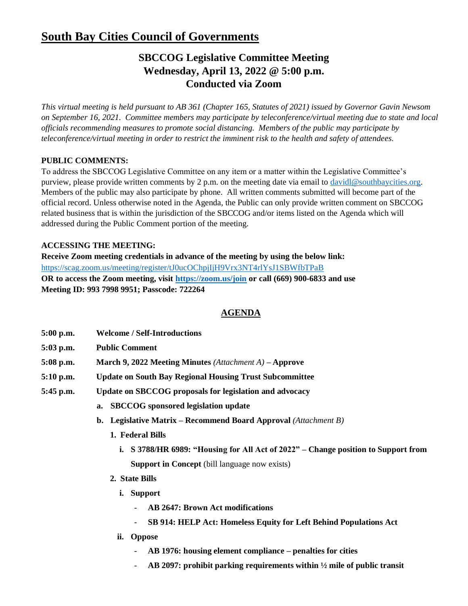# **South Bay Cities Council of Governments**

## **SBCCOG Legislative Committee Meeting Wednesday, April 13, 2022 @ 5:00 p.m. Conducted via Zoom**

*This virtual meeting is held pursuant to AB 361 (Chapter 165, Statutes of 2021) issued by Governor Gavin Newsom on September 16, 2021. Committee members may participate by teleconference/virtual meeting due to state and local officials recommending measures to promote social distancing. Members of the public may participate by teleconference/virtual meeting in order to restrict the imminent risk to the health and safety of attendees.* 

### **PUBLIC COMMENTS:**

To address the SBCCOG Legislative Committee on any item or a matter within the Legislative Committee's purview, please provide written comments by 2 p.m. on the meeting date via email to [davidl@southbaycities.org.](mailto:davidl@southbaycities.org) Members of the public may also participate by phone. All written comments submitted will become part of the official record. Unless otherwise noted in the Agenda, the Public can only provide written comment on SBCCOG related business that is within the jurisdiction of the SBCCOG and/or items listed on the Agenda which will addressed during the Public Comment portion of the meeting.

#### **ACCESSING THE MEETING:**

**Receive Zoom meeting credentials in advance of the meeting by using the below link:** <https://scag.zoom.us/meeting/register/tJ0ucOChpjIjH9Vrx3NT4rlYsJ1SBWfbTPaB> **OR to access the Zoom meeting, visit<https://zoom.us/join> or call (669) 900-6833 and use Meeting ID: 993 7998 9951; Passcode: 722264**

### **AGENDA**

- **5:00 p.m. Welcome / Self-Introductions**
- **5:03 p.m. Public Comment**
- **5:08 p.m. March 9, 2022 Meeting Minutes** *(Attachment A)* **– Approve**
- **5:10 p.m. Update on South Bay Regional Housing Trust Subcommittee**
- **5:45 p.m. Update on SBCCOG proposals for legislation and advocacy**
	- **a. SBCCOG sponsored legislation update**
	- **b. Legislative Matrix – Recommend Board Approval** *(Attachment B)*
		- **1. Federal Bills**
			- **i. S 3788/HR 6989: "Housing for All Act of 2022" – Change position to Support from Support in Concept** (bill language now exists)
		- **2. State Bills**
			- **i. Support**
				- **AB 2647: Brown Act modifications**
				- **SB 914: HELP Act: Homeless Equity for Left Behind Populations Act**
			- **ii. Oppose**
				- **AB 1976: housing element compliance – penalties for cities**
				- **AB 2097: prohibit parking requirements within ½ mile of public transit**